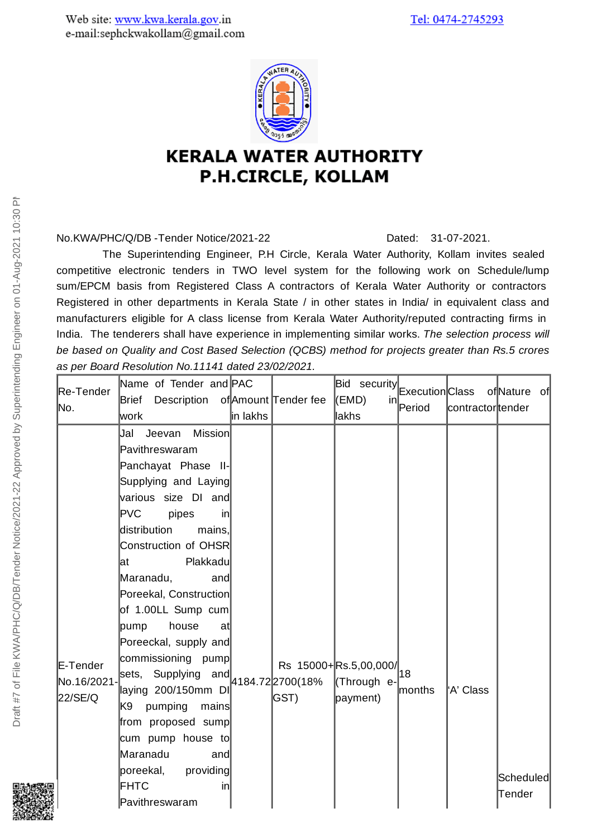

## **KERALA WATER AUTHORITY** P.H.CIRCLE, KOLLAM

No.KWA/PHC/Q/DB-Tender Notice/2021-22 Dated: 31-07-2021.

The Superintending Engineer, P.H Circle, Kerala Water Authority, Kollam invites sealed competitive electronic tenders in TWO level system for the following work on Schedule/lump sum/EPCM basis from Registered Class A contractors of Kerala Water Authority or contractors Registered in other departments in Kerala State / in other states in India/ in equivalent class and manufacturers eligible for A class license from Kerala Water Authority/reputed contracting firms in India. The tenderers shall have experience in implementing similar works. *The selection process will be based on Quality and Cost Based Selection (QCBS) method for projects greater than Rs.5 crores as per Board Resolution No.11141 dated 23/02/2021.*

| Re-Tender<br>lNo.                 | Name of Tender and PAC<br>Description of Amount Tender fee<br>Brief<br>lwork                                                                                                                                                                                                                                                                                                                                                                                                                                                                                                               | in lakhs |      | Bid security Execution Class<br>(EMD)<br>in<br><b>lakhs</b>                    | Period  | contractortender | of Nature of        |
|-----------------------------------|--------------------------------------------------------------------------------------------------------------------------------------------------------------------------------------------------------------------------------------------------------------------------------------------------------------------------------------------------------------------------------------------------------------------------------------------------------------------------------------------------------------------------------------------------------------------------------------------|----------|------|--------------------------------------------------------------------------------|---------|------------------|---------------------|
| E-Tender<br>No.16/2021<br>22/SE/Q | <b>Mission</b><br>Jeevan<br>Jal<br>Pavithreswaram<br>Panchayat Phase II-<br>Supplying and Laying<br>various size DI and<br>PVC<br>pipes<br>$\mathsf{in}$<br>distribution<br>mains.<br>Construction of OHSR<br>Plakkadu<br>lat<br>Maranadu,<br>and<br>Poreekal, Construction<br>of 1.00LL Sump cum<br>house<br>pump<br>at<br>Poreeckal, supply and<br>commissioning pump<br>sets, Supplying and $4184.72$ $2700(18\%$<br>laying 200/150mm DI<br>K9<br>pumping<br>mains<br>from proposed sump<br>cum pump house to<br>Maranadu<br>and<br>poreekal, providing<br>FHTC<br>in<br>Pavithreswaram |          | GST) | Rs $15000 + \left  \text{Rs}.5,00,000 \right _{18}$<br>(Through e-<br>payment) | lmonths | 'A' Class        | Scheduled<br>Tender |

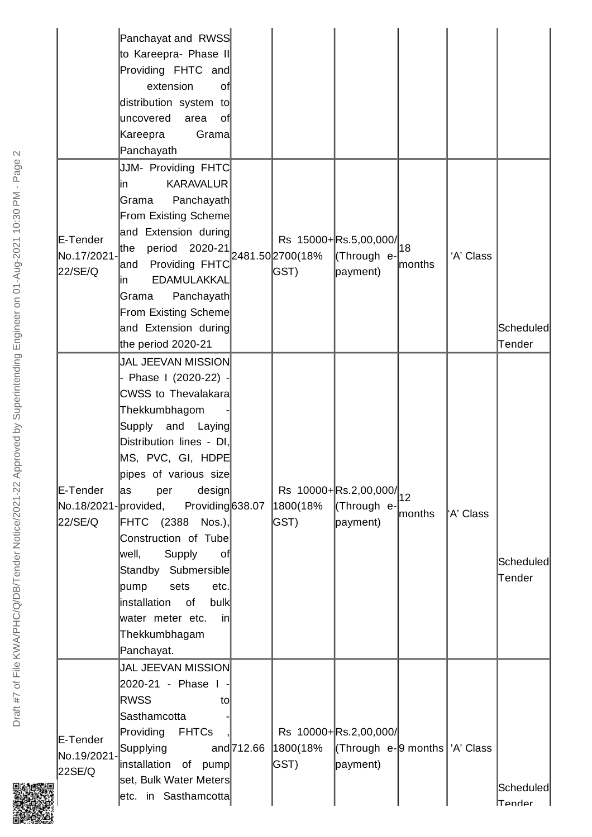|                                    | Panchayat and RWSS<br>to Kareepra- Phase II<br>Providing FHTC and<br>extension<br>of<br>distribution system to<br>luncovered<br>area<br>of<br>Kareepra<br>Grama<br>Panchayath                                                                                                                                                                                                                                                                                               |              |                                   |                                                                                                              |              |                        |                     |
|------------------------------------|-----------------------------------------------------------------------------------------------------------------------------------------------------------------------------------------------------------------------------------------------------------------------------------------------------------------------------------------------------------------------------------------------------------------------------------------------------------------------------|--------------|-----------------------------------|--------------------------------------------------------------------------------------------------------------|--------------|------------------------|---------------------|
| E-Tender<br>No.17/2021-<br>22/SE/Q | JJM- Providing FHTC<br><b>KARAVALUR</b><br>lin.<br>Panchayath<br>Grama<br>From Existing Scheme<br>and Extension during<br>period<br>lthe<br>Providing FHTC<br>land<br><b>EDAMULAKKAL</b><br>lin.<br>Panchayath<br>Grama<br>From Existing Scheme<br>and Extension during<br>the period 2020-21                                                                                                                                                                               |              | 2020-21 2481.50 2700 (18%<br>GST) | Rs 15000+Rs.5,00,000/<br>(Through e-<br>payment)                                                             | 18<br>months | 'A' Class              | Scheduled<br>Tender |
| E-Tender<br>22/SE/Q                | <b>JAL JEEVAN MISSION</b><br>- Phase I (2020-22) -<br>CWSS to Thevalakara<br>Thekkumbhagom<br>Supply<br>and<br>Laying<br>Distribution lines - DI,<br>MS, PVC, GI, HDPE<br>pipes of various size<br>design<br>las<br>per<br>No.18/2021-provided, Providing 638.07<br>FHTC (2388 Nos.),<br>Construction of Tube<br> well,<br>Supply<br>of <br>Standby Submersible<br>pump<br>etc.<br>sets<br>installation of<br>bulk<br>water meter etc.<br>in<br>Thekkumbhagam<br>Panchayat. |              | 1800(18%<br>GST)                  | Rs $10000 + \left  \text{Rs.}2,00,000 \right _{12}$<br>(Through e-<br>payment)                               | months       | <sup>l</sup> 'A' Class | Scheduled<br>Tender |
| E-Tender<br>No.19/2021-<br>22SE/Q  | <b>JAL JEEVAN MISSION</b><br>2020-21 - Phase I<br><b>RWSS</b><br>to<br>Sasthamcotta<br>Providing<br><b>FHTCs</b><br>Supplying<br>installation of pump<br>set, Bulk Water Meters<br>etc. in Sasthamcotta                                                                                                                                                                                                                                                                     | and $712.66$ | 1800(18%<br>GST)                  | Rs 10000+Rs.2,00,000/<br>$\textsf{[Throught e-}9 \text{ months} \mid \textsf{A'} \textsf{Class}$<br>payment) |              |                        | Scheduled<br>Tender |

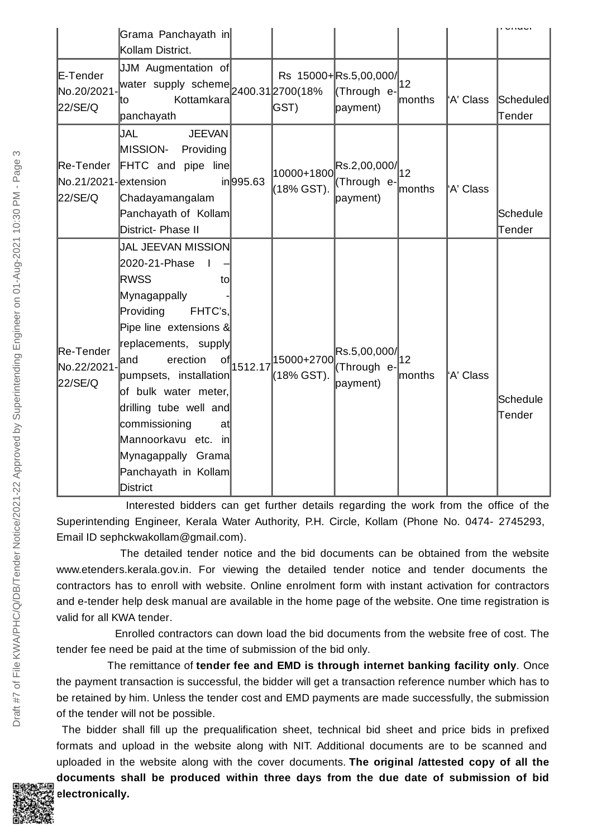|                                     | Grama Panchayath in<br>Kollam District.                                                                                                                                                                                                                                                                                                                                  |           |                          |                                                                                                                                                  |               |           |                     |
|-------------------------------------|--------------------------------------------------------------------------------------------------------------------------------------------------------------------------------------------------------------------------------------------------------------------------------------------------------------------------------------------------------------------------|-----------|--------------------------|--------------------------------------------------------------------------------------------------------------------------------------------------|---------------|-----------|---------------------|
| E-Tender<br>No.20/2021-<br>22/SE/Q  | JJM Augmentation of<br>water supply scheme $_{\left 2400.31\right 2700(18\%)}$<br>Kottamkara<br>lto<br>panchayath                                                                                                                                                                                                                                                        |           | GST)                     | Rs 15000+Rs.5,00,000/<br>(Through e-<br>payment)                                                                                                 | 12<br>months  | 'A' Class | Scheduled<br>Tender |
| No.21/2021-extension<br>22/SE/Q     | JAL<br><b>JEEVAN</b><br><b>MISSION-</b><br>Providing<br>Re-Tender FHTC and pipe line<br>Chadayamangalam<br>Panchayath of Kollam<br>District- Phase II                                                                                                                                                                                                                    | in 995.63 | (18% GST).               | $\left  \rule{0pt}{10000} 10000 + 1800 \rule{0pt}{10pt} \right _{\text{2}}$ Rs.2,00,000/ $\left  \rule{0pt}{10pt} 12$<br>(Through e-<br>payment) | lmonths       | 'A' Class | Schedule<br>Tender  |
| Re-Tender<br>No.22/2021-<br>22/SE/Q | <b>JAL JEEVAN MISSION</b><br>2020-21-Phase<br><b>RWSS</b><br>to<br>Mynagappally<br>Providing<br>FHTC's,<br>Pipe line extensions &<br>replacements, supply<br>erection<br>land<br>οt<br>pumpsets, installation<br>of bulk water meter,<br>drilling tube well and<br>commissioning<br>atl<br>Mannoorkavu etc. in<br>Mynagappally Grama<br>Panchayath in Kollam<br>District | 1512.17   | 15000+2700<br>(18% GST). | Rs.5,00,000/<br>(Through e-<br>payment)                                                                                                          | 12<br>lmonths | 'A' Class | Schedule<br>Tender  |

Interested bidders can get further details regarding the work from the office of the Superintending Engineer, Kerala Water Authority, P.H. Circle, Kollam (Phone No. 0474- 2745293, Email ID sephckwakollam@gmail.com).

The detailed tender notice and the bid documents can be obtained from the website www.etenders.kerala.gov.in. For viewing the detailed tender notice and tender documents the contractors has to enroll with website. Online enrolment form with instant activation for contractors and e-tender help desk manual are available in the home page of the website. One time registration is valid for all KWA tender.

Enrolled contractors can down load the bid documents from the website free of cost. The tender fee need be paid at the time of submission of the bid only.

The remittance of **tender fee and EMD is through internet banking facility only**. Once the payment transaction is successful, the bidder will get a transaction reference number which has to be retained by him. Unless the tender cost and EMD payments are made successfully, the submission of the tender will not be possible.

The bidder shall fill up the prequalification sheet, technical bid sheet and price bids in prefixed formats and upload in the website along with NIT. Additional documents are to be scanned and uploaded in the website along with the cover documents. **The original /attested copy of all the**

**documents shall be produced within three days from the due date of submission of bid electronically.**

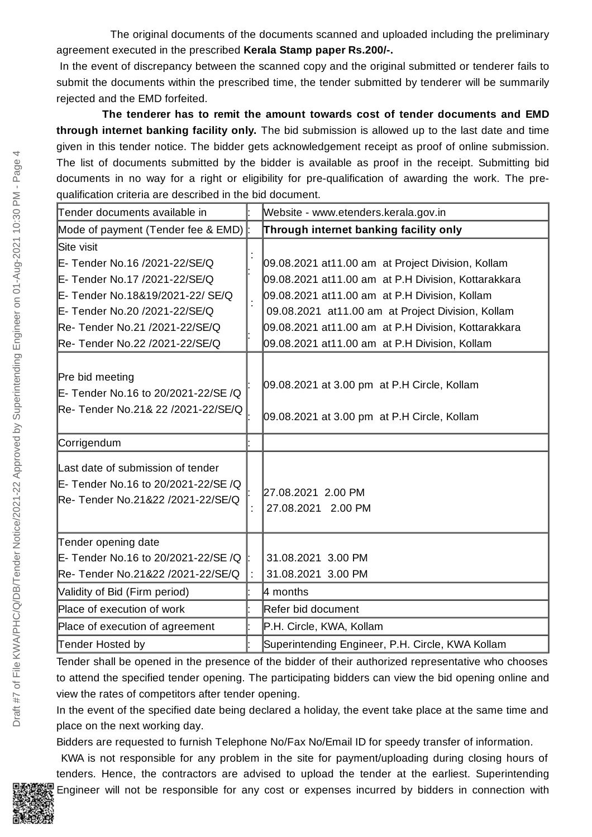The original documents of the documents scanned and uploaded including the preliminary agreement executed in the prescribed **Kerala Stamp paper Rs.200/-.**

In the event of discrepancy between the scanned copy and the original submitted or tenderer fails to submit the documents within the prescribed time, the tender submitted by tenderer will be summarily rejected and the EMD forfeited.

**The tenderer has to remit the amount towards cost of tender documents and EMD through internet banking facility only.** The bid submission is allowed up to the last date and time given in this tender notice. The bidder gets acknowledgement receipt as proof of online submission. The list of documents submitted by the bidder is available as proof in the receipt. Submitting bid documents in no way for a right or eligibility for pre-qualification of awarding the work. The prequalification criteria are described in the bid document.

| Tender documents available in                                                                                 |    | Website - www.etenders.kerala.gov.in                                                       |
|---------------------------------------------------------------------------------------------------------------|----|--------------------------------------------------------------------------------------------|
| Mode of payment (Tender fee & EMD)                                                                            |    | Through internet banking facility only                                                     |
| Site visit                                                                                                    |    |                                                                                            |
| E- Tender No.16 /2021-22/SE/Q                                                                                 |    | 09.08.2021 at11.00 am at Project Division, Kollam                                          |
| E- Tender No.17 /2021-22/SE/Q                                                                                 |    | 09.08.2021 at11.00 am at P.H Division, Kottarakkara                                        |
| E- Tender No.18&19/2021-22/ SE/Q                                                                              |    | 09.08.2021 at11.00 am at P.H Division, Kollam                                              |
| E- Tender No.20 /2021-22/SE/Q                                                                                 |    | 09.08.2021 at11.00 am at Project Division, Kollam                                          |
| Re- Tender No.21 /2021-22/SE/Q                                                                                |    | 09.08.2021 at11.00 am at P.H Division, Kottarakkara                                        |
| Re- Tender No.22 /2021-22/SE/Q                                                                                |    | 09.08.2021 at11.00 am at P.H Division, Kollam                                              |
| Pre bid meeting<br>E- Tender No.16 to 20/2021-22/SE /Q<br>Re- Tender No.21& 22 /2021-22/SE/Q                  |    | 09.08.2021 at 3.00 pm at P.H Circle, Kollam<br>09.08.2021 at 3.00 pm at P.H Circle, Kollam |
| Corrigendum                                                                                                   |    |                                                                                            |
| Last date of submission of tender<br>E- Tender No.16 to 20/2021-22/SE /Q<br>Re- Tender No.21&22 /2021-22/SE/Q | ł. | 27.08.2021 2.00 PM<br>27.08.2021 2.00 PM                                                   |
| Tender opening date                                                                                           |    |                                                                                            |
| E- Tender No.16 to 20/2021-22/SE /Q                                                                           |    | 31.08.2021 3.00 PM                                                                         |
| Re- Tender No.21&22 /2021-22/SE/Q                                                                             |    | 31.08.2021 3.00 PM                                                                         |
| Validity of Bid (Firm period)                                                                                 |    | 4 months                                                                                   |
| Place of execution of work                                                                                    |    | Refer bid document                                                                         |
| Place of execution of agreement                                                                               |    | P.H. Circle, KWA, Kollam                                                                   |
| Tender Hosted by                                                                                              |    | Superintending Engineer, P.H. Circle, KWA Kollam                                           |

Tender shall be opened in the presence of the bidder of their authorized representative who chooses to attend the specified tender opening. The participating bidders can view the bid opening online and view the rates of competitors after tender opening.

In the event of the specified date being declared a holiday, the event take place at the same time and place on the next working day.

Bidders are requested to furnish Telephone No/Fax No/Email ID for speedy transfer of information.

KWA is not responsible for any problem in the site for payment/uploading during closing hours of tenders. Hence, the contractors are advised to upload the tender at the earliest. Superintending Engineer will not be responsible for any cost or expenses incurred by bidders in connection with